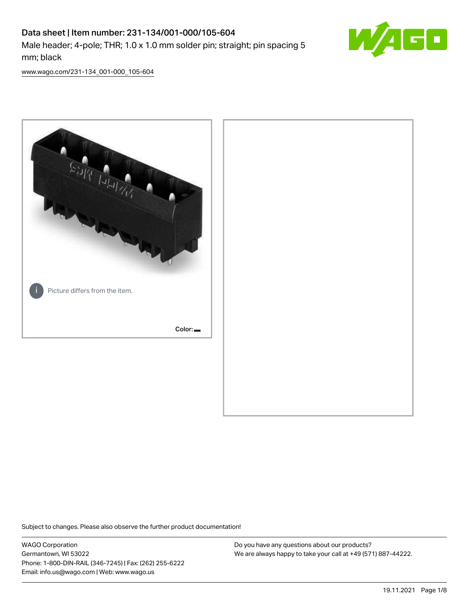# Data sheet | Item number: 231-134/001-000/105-604 Male header; 4-pole; THR; 1.0 x 1.0 mm solder pin; straight; pin spacing 5 mm; black



[www.wago.com/231-134\\_001-000\\_105-604](http://www.wago.com/231-134_001-000_105-604)



Subject to changes. Please also observe the further product documentation!

WAGO Corporation Germantown, WI 53022 Phone: 1-800-DIN-RAIL (346-7245) | Fax: (262) 255-6222 Email: info.us@wago.com | Web: www.wago.us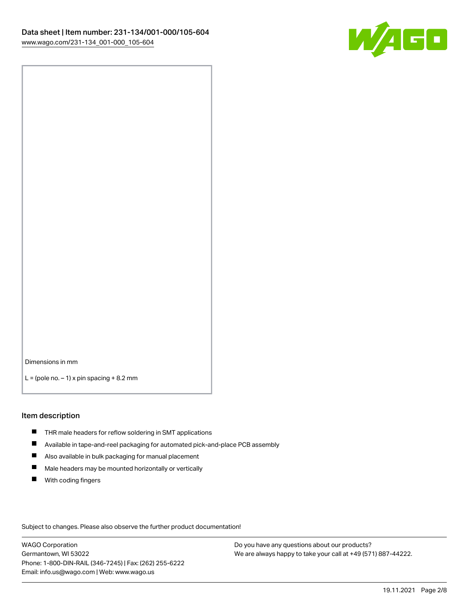

Dimensions in mm

 $L =$  (pole no.  $-1$ ) x pin spacing  $+8.2$  mm

#### Item description

- **THR** male headers for reflow soldering in SMT applications
- $\blacksquare$ Available in tape-and-reel packaging for automated pick-and-place PCB assembly
- $\blacksquare$ Also available in bulk packaging for manual placement
- $\blacksquare$ Male headers may be mounted horizontally or vertically
- **With coding fingers**

Subject to changes. Please also observe the further product documentation!

WAGO Corporation Germantown, WI 53022 Phone: 1-800-DIN-RAIL (346-7245) | Fax: (262) 255-6222 Email: info.us@wago.com | Web: www.wago.us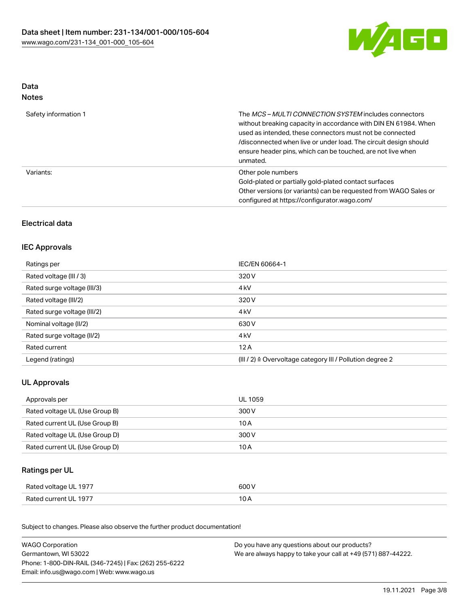

## Data Notes

| Safety information 1 | The MCS-MULTI CONNECTION SYSTEM includes connectors<br>without breaking capacity in accordance with DIN EN 61984. When<br>used as intended, these connectors must not be connected<br>/disconnected when live or under load. The circuit design should<br>ensure header pins, which can be touched, are not live when<br>unmated. |
|----------------------|-----------------------------------------------------------------------------------------------------------------------------------------------------------------------------------------------------------------------------------------------------------------------------------------------------------------------------------|
| Variants:            | Other pole numbers<br>Gold-plated or partially gold-plated contact surfaces<br>Other versions (or variants) can be requested from WAGO Sales or<br>configured at https://configurator.wago.com/                                                                                                                                   |

# Electrical data

### IEC Approvals

| Ratings per                 | IEC/EN 60664-1                                                       |
|-----------------------------|----------------------------------------------------------------------|
| Rated voltage (III / 3)     | 320 V                                                                |
| Rated surge voltage (III/3) | 4 <sub>kV</sub>                                                      |
| Rated voltage (III/2)       | 320 V                                                                |
| Rated surge voltage (III/2) | 4 <sub>kV</sub>                                                      |
| Nominal voltage (II/2)      | 630 V                                                                |
| Rated surge voltage (II/2)  | 4 <sub>kV</sub>                                                      |
| Rated current               | 12A                                                                  |
| Legend (ratings)            | (III / 2) $\triangleq$ Overvoltage category III / Pollution degree 2 |

# UL Approvals

| Approvals per                  | UL 1059 |
|--------------------------------|---------|
| Rated voltage UL (Use Group B) | 300 V   |
| Rated current UL (Use Group B) | 10 A    |
| Rated voltage UL (Use Group D) | 300 V   |
| Rated current UL (Use Group D) | 10 A    |

# Ratings per UL

| Rated voltage UL 1977 | 600 V |
|-----------------------|-------|
| Rated current UL 1977 | ∣ ∪ ⊬ |

Subject to changes. Please also observe the further product documentation!

| <b>WAGO Corporation</b>                                | Do you have any questions about our products?                 |
|--------------------------------------------------------|---------------------------------------------------------------|
| Germantown, WI 53022                                   | We are always happy to take your call at +49 (571) 887-44222. |
| Phone: 1-800-DIN-RAIL (346-7245)   Fax: (262) 255-6222 |                                                               |
| Email: info.us@wago.com   Web: www.wago.us             |                                                               |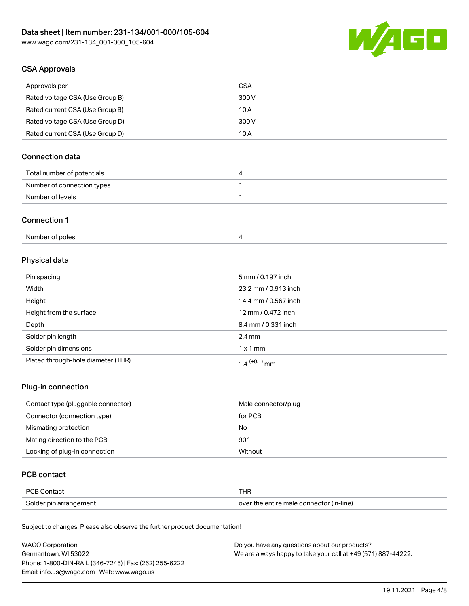

# CSA Approvals

| Approvals per                   | <b>CSA</b> |
|---------------------------------|------------|
| Rated voltage CSA (Use Group B) | 300 V      |
| Rated current CSA (Use Group B) | 10 A       |
| Rated voltage CSA (Use Group D) | 300 V      |
| Rated current CSA (Use Group D) | 10 A       |

# Connection data

| Total number of potentials |  |
|----------------------------|--|
| Number of connection types |  |
| Number of levels           |  |

#### Connection 1

| Number of poles |  |
|-----------------|--|
|-----------------|--|

# Physical data

| Pin spacing                        | 5 mm / 0.197 inch    |
|------------------------------------|----------------------|
| Width                              | 23.2 mm / 0.913 inch |
| Height                             | 14.4 mm / 0.567 inch |
| Height from the surface            | 12 mm / 0.472 inch   |
| Depth                              | 8.4 mm / 0.331 inch  |
| Solder pin length                  | $2.4 \text{ mm}$     |
| Solder pin dimensions              | $1 \times 1$ mm      |
| Plated through-hole diameter (THR) | $1.4$ $(+0.1)$ mm    |

### Plug-in connection

| Contact type (pluggable connector) | Male connector/plug |
|------------------------------------|---------------------|
| Connector (connection type)        | for PCB             |
| Mismating protection               | No                  |
| Mating direction to the PCB        | $90^{\circ}$        |
| Locking of plug-in connection      | Without             |

# PCB contact

| <b>PCB Contact</b>     | THR                                      |
|------------------------|------------------------------------------|
| Solder pin arrangement | over the entire male connector (in-line) |

Subject to changes. Please also observe the further product documentation!

| <b>WAGO Corporation</b>                                | Do you have any questions about our products?                 |
|--------------------------------------------------------|---------------------------------------------------------------|
| Germantown, WI 53022                                   | We are always happy to take your call at +49 (571) 887-44222. |
| Phone: 1-800-DIN-RAIL (346-7245)   Fax: (262) 255-6222 |                                                               |
| Email: info.us@wago.com   Web: www.wago.us             |                                                               |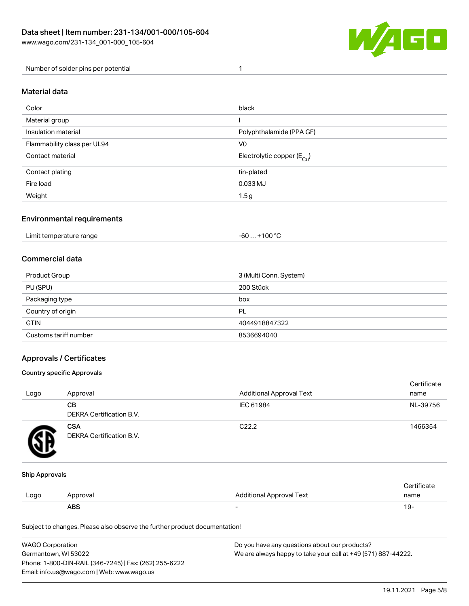

Number of solder pins per potential 1

#### Material data

| Color                       | black                                  |
|-----------------------------|----------------------------------------|
| Material group              |                                        |
| Insulation material         | Polyphthalamide (PPA GF)               |
| Flammability class per UL94 | V <sub>0</sub>                         |
| Contact material            | Electrolytic copper (E <sub>Cu</sub> ) |
| Contact plating             | tin-plated                             |
| Fire load                   | 0.033 MJ                               |
| Weight                      | 1.5 <sub>g</sub>                       |

### Environmental requirements

Limit temperature range  $-60... +100$  °C

#### Commercial data

| Product Group         | 3 (Multi Conn. System) |
|-----------------------|------------------------|
| PU (SPU)              | 200 Stück              |
| Packaging type        | box                    |
| Country of origin     | PL                     |
| <b>GTIN</b>           | 4044918847322          |
| Customs tariff number | 8536694040             |

### Approvals / Certificates

#### Country specific Approvals

| Logo | Approval                               | <b>Additional Approval Text</b> | Certificate<br>name |
|------|----------------------------------------|---------------------------------|---------------------|
|      | <b>CB</b><br>DEKRA Certification B.V.  | IEC 61984                       | NL-39756            |
|      | <b>CSA</b><br>DEKRA Certification B.V. | C <sub>22.2</sub>               | 1466354             |

#### Ship Approvals

|      | ABS      |                                 | ιУ۰                |
|------|----------|---------------------------------|--------------------|
| Logo | Approval | <b>Additional Approval Text</b> | name               |
|      |          |                                 | <b>Certificate</b> |

Subject to changes. Please also observe the further product documentation!

| <b>WAGO Corporation</b>                                | Do you have any questions about our products?                 |
|--------------------------------------------------------|---------------------------------------------------------------|
| Germantown, WI 53022                                   | We are always happy to take your call at +49 (571) 887-44222. |
| Phone: 1-800-DIN-RAIL (346-7245)   Fax: (262) 255-6222 |                                                               |
| Email: info.us@wago.com   Web: www.wago.us             |                                                               |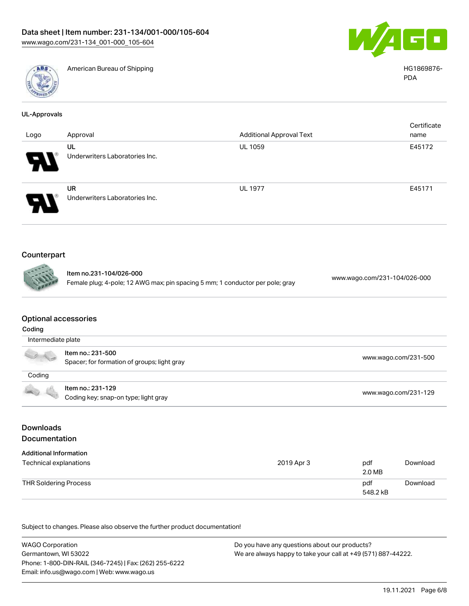



American Bureau of Shipping National American Bureau of Shipping HG1869876-

| UL-Approvals |
|--------------|
|--------------|

|                            |                                             |                                 | Certificate |
|----------------------------|---------------------------------------------|---------------------------------|-------------|
| Logo                       | Approval                                    | <b>Additional Approval Text</b> | name        |
| $\boldsymbol{H}$           | UL<br>Underwriters Laboratories Inc.        | UL 1059                         | E45172      |
| $\boldsymbol{\mathcal{P}}$ | <b>UR</b><br>Underwriters Laboratories Inc. | <b>UL 1977</b>                  | E45171      |

# Counterpart

Item no.231-104/026-000 Female plug; 4-pole; 12 AWG max; pin spacing 5 mm; 1 conductor per pole; gray [www.wago.com/231-104/026-000](https://www.wago.com/231-104/026-000)

#### Optional accessories

| Coding               |                                                                  |                      |  |  |
|----------------------|------------------------------------------------------------------|----------------------|--|--|
| Intermediate plate   |                                                                  |                      |  |  |
| $\frac{1}{\sqrt{2}}$ | Item no.: 231-500<br>Spacer; for formation of groups; light gray | www.wago.com/231-500 |  |  |
| Coding               |                                                                  |                      |  |  |
| $\rightarrow$        | Item no.: 231-129<br>Coding key; snap-on type; light gray        | www.wago.com/231-129 |  |  |

# Downloads Documentation

| <b>Additional Information</b><br>Technical explanations | 2019 Apr 3 | pdf<br>2.0 MB   | Download |
|---------------------------------------------------------|------------|-----------------|----------|
| THR Soldering Process                                   |            | pdf<br>548.2 kB | Download |

Subject to changes. Please also observe the further product documentation!

WAGO Corporation Germantown, WI 53022 Phone: 1-800-DIN-RAIL (346-7245) | Fax: (262) 255-6222 Email: info.us@wago.com | Web: www.wago.us Do you have any questions about our products? We are always happy to take your call at +49 (571) 887-44222.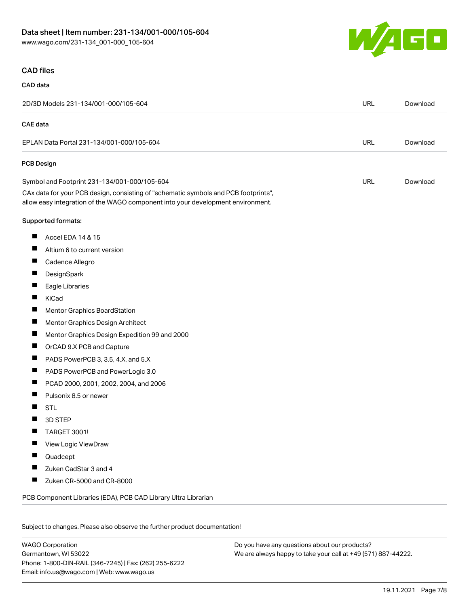

#### CAD files

#### CAD data

| 2D/3D Models 231-134/001-000/105-604                                                                                                                                   | <b>URL</b> | Download |
|------------------------------------------------------------------------------------------------------------------------------------------------------------------------|------------|----------|
| <b>CAE</b> data                                                                                                                                                        |            |          |
| EPLAN Data Portal 231-134/001-000/105-604                                                                                                                              | <b>URL</b> | Download |
| <b>PCB Design</b>                                                                                                                                                      |            |          |
| Symbol and Footprint 231-134/001-000/105-604                                                                                                                           | <b>URL</b> | Download |
| CAx data for your PCB design, consisting of "schematic symbols and PCB footprints",<br>allow easy integration of the WAGO component into your development environment. |            |          |
| Supported formats:                                                                                                                                                     |            |          |
| ш<br>Accel EDA 14 & 15                                                                                                                                                 |            |          |
| ш<br>Altium 6 to current version                                                                                                                                       |            |          |
| ш<br>Cadence Allegro                                                                                                                                                   |            |          |
| Ш<br>DesignSpark                                                                                                                                                       |            |          |
| ш<br>Eagle Libraries                                                                                                                                                   |            |          |
| ш<br>KiCad                                                                                                                                                             |            |          |
| ш<br><b>Mentor Graphics BoardStation</b>                                                                                                                               |            |          |
| ш<br>Mentor Graphics Design Architect                                                                                                                                  |            |          |
| ш<br>Mentor Graphics Design Expedition 99 and 2000                                                                                                                     |            |          |
| ш<br>OrCAD 9.X PCB and Capture                                                                                                                                         |            |          |
| PADS PowerPCB 3, 3.5, 4.X, and 5.X<br>ш                                                                                                                                |            |          |
| ш<br>PADS PowerPCB and PowerLogic 3.0                                                                                                                                  |            |          |
| ш<br>PCAD 2000, 2001, 2002, 2004, and 2006                                                                                                                             |            |          |
| Pulsonix 8.5 or newer<br>ш                                                                                                                                             |            |          |
| ш<br><b>STL</b>                                                                                                                                                        |            |          |
| 3D STEP<br>ш                                                                                                                                                           |            |          |
| ш<br><b>TARGET 3001!</b>                                                                                                                                               |            |          |
| ш<br>View Logic ViewDraw                                                                                                                                               |            |          |
| Quadcept                                                                                                                                                               |            |          |
| Zuken CadStar 3 and 4<br>п                                                                                                                                             |            |          |
| ш<br>Zuken CR-5000 and CR-8000                                                                                                                                         |            |          |
| PCB Component Libraries (EDA), PCB CAD Library Ultra Librarian                                                                                                         |            |          |
|                                                                                                                                                                        |            |          |

Subject to changes. Please also observe the further product documentation!

WAGO Corporation Germantown, WI 53022 Phone: 1-800-DIN-RAIL (346-7245) | Fax: (262) 255-6222 Email: info.us@wago.com | Web: www.wago.us